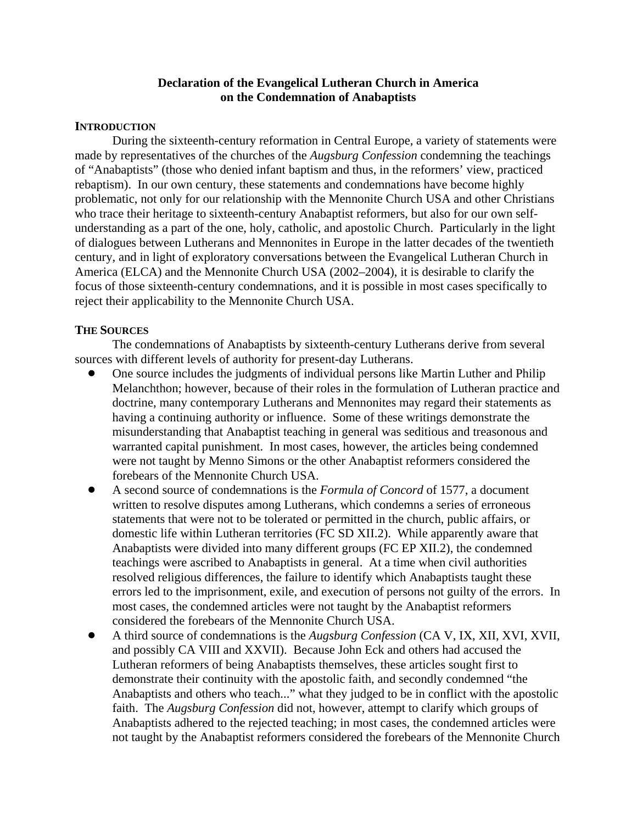## **Declaration of the Evangelical Lutheran Church in America on the Condemnation of Anabaptists**

## **INTRODUCTION**

During the sixteenth-century reformation in Central Europe, a variety of statements were made by representatives of the churches of the *Augsburg Confession* condemning the teachings of "Anabaptists" (those who denied infant baptism and thus, in the reformers' view, practiced rebaptism). In our own century, these statements and condemnations have become highly problematic, not only for our relationship with the Mennonite Church USA and other Christians who trace their heritage to sixteenth-century Anabaptist reformers, but also for our own selfunderstanding as a part of the one, holy, catholic, and apostolic Church. Particularly in the light of dialogues between Lutherans and Mennonites in Europe in the latter decades of the twentieth century, and in light of exploratory conversations between the Evangelical Lutheran Church in America (ELCA) and the Mennonite Church USA (2002–2004), it is desirable to clarify the focus of those sixteenth-century condemnations, and it is possible in most cases specifically to reject their applicability to the Mennonite Church USA.

## **THE SOURCES**

The condemnations of Anabaptists by sixteenth-century Lutherans derive from several sources with different levels of authority for present-day Lutherans.

- ! One source includes the judgments of individual persons like Martin Luther and Philip Melanchthon; however, because of their roles in the formulation of Lutheran practice and doctrine, many contemporary Lutherans and Mennonites may regard their statements as having a continuing authority or influence. Some of these writings demonstrate the misunderstanding that Anabaptist teaching in general was seditious and treasonous and warranted capital punishment. In most cases, however, the articles being condemned were not taught by Menno Simons or the other Anabaptist reformers considered the forebears of the Mennonite Church USA.
- ! A second source of condemnations is the *Formula of Concord* of 1577, a document written to resolve disputes among Lutherans, which condemns a series of erroneous statements that were not to be tolerated or permitted in the church, public affairs, or domestic life within Lutheran territories (FC SD XII.2). While apparently aware that Anabaptists were divided into many different groups (FC EP XII.2), the condemned teachings were ascribed to Anabaptists in general. At a time when civil authorities resolved religious differences, the failure to identify which Anabaptists taught these errors led to the imprisonment, exile, and execution of persons not guilty of the errors. In most cases, the condemned articles were not taught by the Anabaptist reformers considered the forebears of the Mennonite Church USA.
- ! A third source of condemnations is the *Augsburg Confession* (CA V, IX, XII, XVI, XVII, and possibly CA VIII and XXVII). Because John Eck and others had accused the Lutheran reformers of being Anabaptists themselves, these articles sought first to demonstrate their continuity with the apostolic faith, and secondly condemned "the Anabaptists and others who teach..." what they judged to be in conflict with the apostolic faith. The *Augsburg Confession* did not, however, attempt to clarify which groups of Anabaptists adhered to the rejected teaching; in most cases, the condemned articles were not taught by the Anabaptist reformers considered the forebears of the Mennonite Church